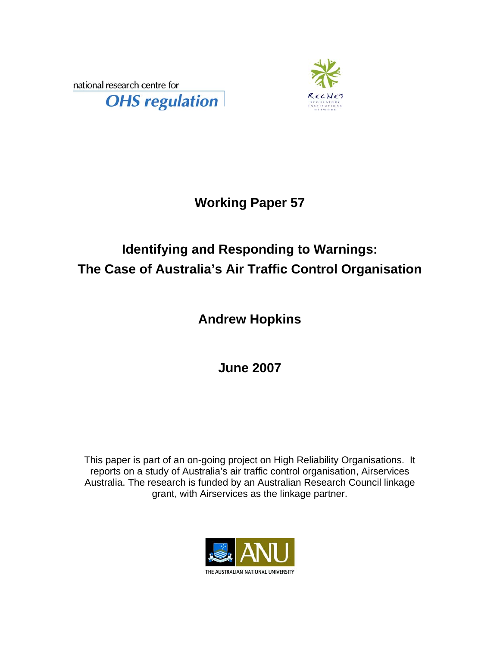national research centre for





## **Working Paper 57**

# **Identifying and Responding to Warnings: The Case of Australia's Air Traffic Control Organisation**

# **Andrew Hopkins**

**June 2007** 

This paper is part of an on-going project on High Reliability Organisations. It reports on a study of Australia's air traffic control organisation, Airservices Australia. The research is funded by an Australian Research Council linkage grant, with Airservices as the linkage partner.

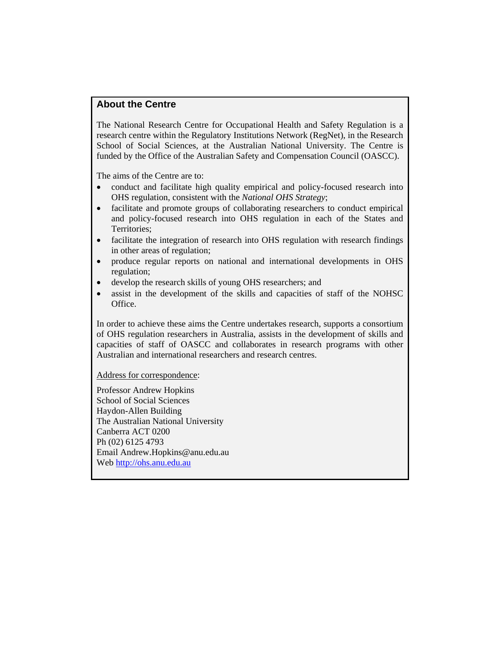#### **About the Centre**

The National Research Centre for Occupational Health and Safety Regulation is a research centre within the Regulatory Institutions Network (RegNet), in the Research School of Social Sciences, at the Australian National University. The Centre is funded by the Office of the Australian Safety and Compensation Council (OASCC).

The aims of the Centre are to:

- conduct and facilitate high quality empirical and policy-focused research into OHS regulation, consistent with the *National OHS Strategy*;
- facilitate and promote groups of collaborating researchers to conduct empirical and policy-focused research into OHS regulation in each of the States and Territories;
- facilitate the integration of research into OHS regulation with research findings in other areas of regulation;
- produce regular reports on national and international developments in OHS regulation;
- develop the research skills of young OHS researchers; and
- assist in the development of the skills and capacities of staff of the NOHSC Office.

In order to achieve these aims the Centre undertakes research, supports a consortium of OHS regulation researchers in Australia, assists in the development of skills and capacities of staff of OASCC and collaborates in research programs with other Australian and international researchers and research centres.

Address for correspondence:

Professor Andrew Hopkins School of Social Sciences Haydon-Allen Building The Australian National University Canberra ACT 0200 Ph (02) 6125 4793 Email Andrew.Hopkins@anu.edu.au Web [http://ohs.anu.edu.au](http://ohs.anu.edu.au/)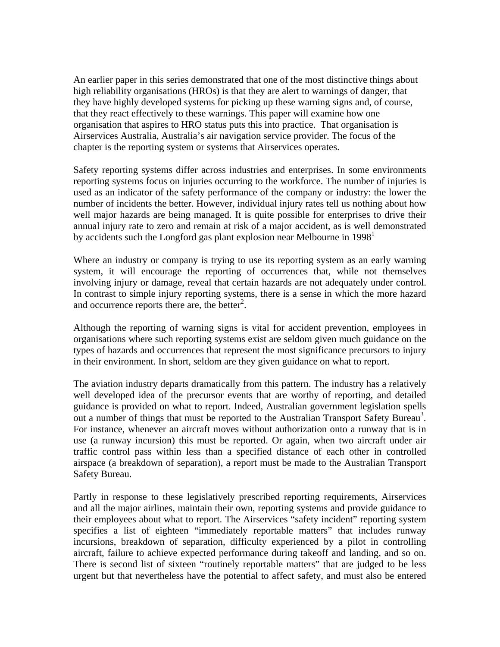An earlier paper in this series demonstrated that one of the most distinctive things about high reliability organisations (HROs) is that they are alert to warnings of danger, that they have highly developed systems for picking up these warning signs and, of course, that they react effectively to these warnings. This paper will examine how one organisation that aspires to HRO status puts this into practice. That organisation is Airservices Australia, Australia's air navigation service provider. The focus of the chapter is the reporting system or systems that Airservices operates.

Safety reporting systems differ across industries and enterprises. In some environments reporting systems focus on injuries occurring to the workforce. The number of injuries is used as an indicator of the safety performance of the company or industry: the lower the number of incidents the better. However, individual injury rates tell us nothing about how well major hazards are being managed. It is quite possible for enterprises to drive their annual injury rate to zero and remain at risk of a major accident, as is well demonstrated byaccidents such the Longford gas plant explosion near Melbourne in  $1998<sup>1</sup>$ 

Where an industry or company is trying to use its reporting system as an early warning system, it will encourage the reporting of occurrences that, while not themselves involving injury or damage, reveal that certain hazards are not adequately under control. In contrast to simple injury reporting systems, there is a sense in which the more hazard and occurrence reports there are, the better $2$ .

Although the reporting of warning signs is vital for accident prevention, employees in organisations where such reporting systems exist are seldom given much guidance on the types of hazards and occurrences that represent the most significance precursors to injury in their environment. In short, seldom are they given guidance on what to report.

The aviation industry departs dramatically from this pattern. The industry has a relatively well developed idea of the precursor events that are worthy of reporting, and detailed guidance is provided on what to report. Indeed, Australian government legislation spells out a number of things that must be reported to the Australian Transport Safety Bureau<sup>3</sup>. For instance, whenever an aircraft moves without authorization onto a runway that is in use (a runway incursion) this must be reported. Or again, when two aircraft under air traffic control pass within less than a specified distance of each other in controlled airspace (a breakdown of separation), a report must be made to the Australian Transport Safety Bureau.

Partly in response to these legislatively prescribed reporting requirements, Airservices and all the major airlines, maintain their own, reporting systems and provide guidance to their employees about what to report. The Airservices "safety incident" reporting system specifies a list of eighteen "immediately reportable matters" that includes runway incursions, breakdown of separation, difficulty experienced by a pilot in controlling aircraft, failure to achieve expected performance during takeoff and landing, and so on. There is second list of sixteen "routinely reportable matters" that are judged to be less urgent but that nevertheless have the potential to affect safety, and must also be entered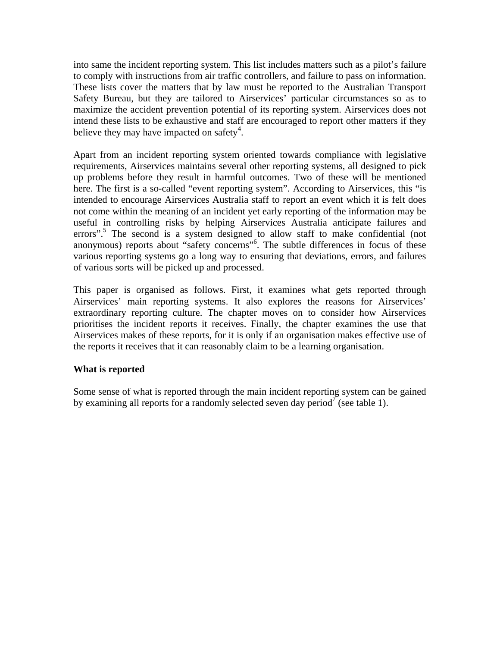into same the incident reporting system. This list includes matters such as a pilot's failure to comply with instructions from air traffic controllers, and failure to pass on information. These lists cover the matters that by law must be reported to the Australian Transport Safety Bureau, but they are tailored to Airservices' particular circumstances so as to maximize the accident prevention potential of its reporting system. Airservices does not intend these lists to be exhaustive and staff are encouraged to report other matters if they believe they may have impacted on safety<sup>4</sup>.

Apart from an incident reporting system oriented towards compliance with legislative requirements, Airservices maintains several other reporting systems, all designed to pick up problems before they result in harmful outcomes. Two of these will be mentioned here. The first is a so-called "event reporting system". According to Airservices, this "is intended to encourage Airservices Australia staff to report an event which it is felt does not come within the meaning of an incident yet early reporting of the information may be useful in controlling risks by helping Airservices Australia anticipate failures and errors".<sup>5</sup> The second is a system designed to allow staff to make confidential (not anonymous) reports about "safety concerns"<sup>[6](#page-24-5)</sup>. The subtle differences in focus of these various reporting systems go a long way to ensuring that deviations, errors, and failures of various sorts will be picked up and processed.

This paper is organised as follows. First, it examines what gets reported through Airservices' main reporting systems. It also explores the reasons for Airservices' extraordinary reporting culture. The chapter moves on to consider how Airservices prioritises the incident reports it receives. Finally, the chapter examines the use that Airservices makes of these reports, for it is only if an organisation makes effective use of the reports it receives that it can reasonably claim to be a learning organisation.

### **What is reported**

Some sense of what is reported through the main incident reporting system can be gained by examining all reports for a randomly selected seven day period<sup>7</sup> (see table 1).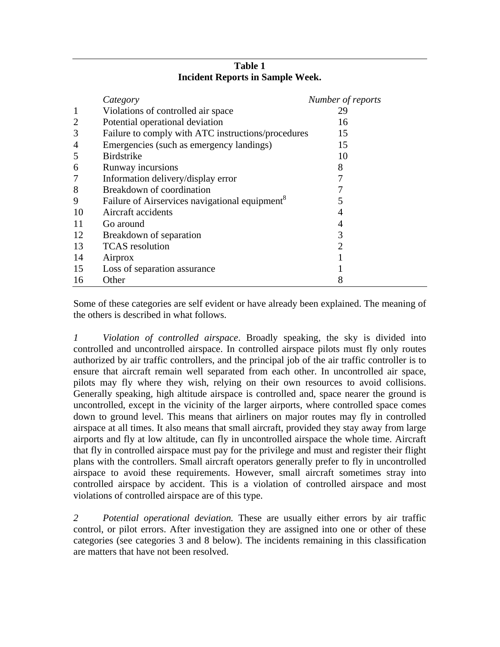|                | Category                                                   | Number of reports |
|----------------|------------------------------------------------------------|-------------------|
| $\mathbf{1}$   | Violations of controlled air space                         | 29                |
| $\overline{2}$ | Potential operational deviation                            | 16                |
| 3              | Failure to comply with ATC instructions/procedures         | 15                |
| $\overline{4}$ | Emergencies (such as emergency landings)                   | 15                |
| 5              | <b>Birdstrike</b>                                          | 10                |
| 6              | Runway incursions                                          | 8                 |
| 7              | Information delivery/display error                         |                   |
| 8              | Breakdown of coordination                                  |                   |
| 9              | Failure of Airservices navigational equipment <sup>8</sup> | 5                 |
| 10             | Aircraft accidents                                         | 4                 |
| 11             | Go around                                                  | 4                 |
| 12             | Breakdown of separation                                    | 3                 |
| 13             | <b>TCAS</b> resolution                                     | 2                 |
| 14             | Airprox                                                    |                   |
| 15             | Loss of separation assurance                               |                   |
| 16             | Other                                                      |                   |

#### **Table 1 Incident Reports in Sample Week.**

Some of these categories are self evident or have already been explained. The meaning of the others is described in what follows.

*1 Violation of controlled airspace*. Broadly speaking, the sky is divided into controlled and uncontrolled airspace. In controlled airspace pilots must fly only routes authorized by air traffic controllers, and the principal job of the air traffic controller is to ensure that aircraft remain well separated from each other. In uncontrolled air space, pilots may fly where they wish, relying on their own resources to avoid collisions. Generally speaking, high altitude airspace is controlled and, space nearer the ground is uncontrolled, except in the vicinity of the larger airports, where controlled space comes down to ground level. This means that airliners on major routes may fly in controlled airspace at all times. It also means that small aircraft, provided they stay away from large airports and fly at low altitude, can fly in uncontrolled airspace the whole time. Aircraft that fly in controlled airspace must pay for the privilege and must and register their flight plans with the controllers. Small aircraft operators generally prefer to fly in uncontrolled airspace to avoid these requirements. However, small aircraft sometimes stray into controlled airspace by accident. This is a violation of controlled airspace and most violations of controlled airspace are of this type.

*2 Potential operational deviation.* These are usually either errors by air traffic control, or pilot errors. After investigation they are assigned into one or other of these categories (see categories 3 and 8 below). The incidents remaining in this classification are matters that have not been resolved.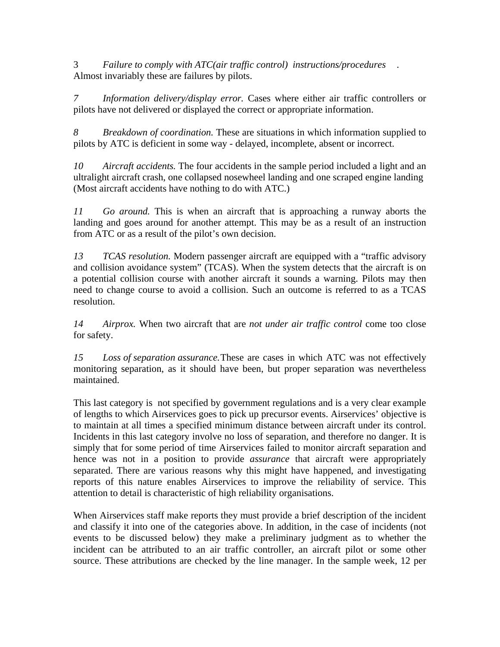3 *Failure to comply with ATC(air traffic control) instructions/procedures* . Almost invariably these are failures by pilots.

*7 Information delivery/display error.* Cases where either air traffic controllers or pilots have not delivered or displayed the correct or appropriate information.

*8 Breakdown of coordination.* These are situations in which information supplied to pilots by ATC is deficient in some way - delayed, incomplete, absent or incorrect.

*10 Aircraft accidents.* The four accidents in the sample period included a light and an ultralight aircraft crash, one collapsed nosewheel landing and one scraped engine landing (Most aircraft accidents have nothing to do with ATC.)

*11 Go around.* This is when an aircraft that is approaching a runway aborts the landing and goes around for another attempt. This may be as a result of an instruction from ATC or as a result of the pilot's own decision.

*13 TCAS resolution.* Modern passenger aircraft are equipped with a "traffic advisory and collision avoidance system" (TCAS). When the system detects that the aircraft is on a potential collision course with another aircraft it sounds a warning. Pilots may then need to change course to avoid a collision. Such an outcome is referred to as a TCAS resolution.

*14 Airprox.* When two aircraft that are *not under air traffic control* come too close for safety.

*15 Loss of separation assurance.* These are cases in which ATC was not effectively monitoring separation, as it should have been, but proper separation was nevertheless maintained.

This last category is not specified by government regulations and is a very clear example of lengths to which Airservices goes to pick up precursor events. Airservices' objective is to maintain at all times a specified minimum distance between aircraft under its control. Incidents in this last category involve no loss of separation, and therefore no danger. It is simply that for some period of time Airservices failed to monitor aircraft separation and hence was not in a position to provide *assurance* that aircraft were appropriately separated. There are various reasons why this might have happened, and investigating reports of this nature enables Airservices to improve the reliability of service. This attention to detail is characteristic of high reliability organisations.

When Airservices staff make reports they must provide a brief description of the incident and classify it into one of the categories above. In addition, in the case of incidents (not events to be discussed below) they make a preliminary judgment as to whether the incident can be attributed to an air traffic controller, an aircraft pilot or some other source. These attributions are checked by the line manager. In the sample week, 12 per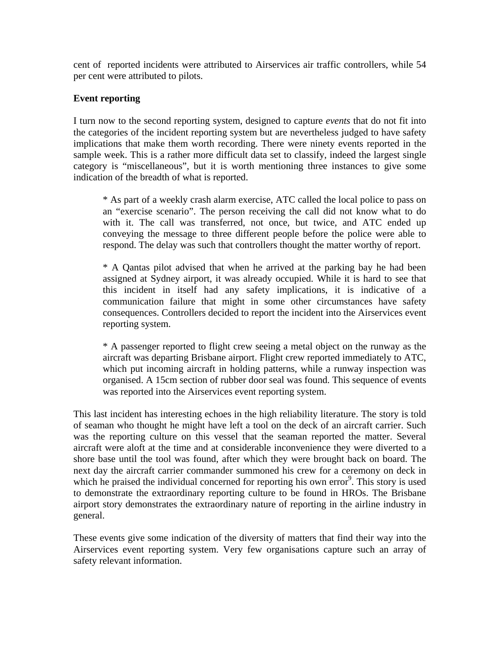cent of reported incidents were attributed to Airservices air traffic controllers, while 54 per cent were attributed to pilots.

#### **Event reporting**

I turn now to the second reporting system, designed to capture *events* that do not fit into the categories of the incident reporting system but are nevertheless judged to have safety implications that make them worth recording. There were ninety events reported in the sample week. This is a rather more difficult data set to classify, indeed the largest single category is "miscellaneous", but it is worth mentioning three instances to give some indication of the breadth of what is reported.

\* As part of a weekly crash alarm exercise, ATC called the local police to pass on an "exercise scenario". The person receiving the call did not know what to do with it. The call was transferred, not once, but twice, and ATC ended up conveying the message to three different people before the police were able to respond. The delay was such that controllers thought the matter worthy of report.

\* A Qantas pilot advised that when he arrived at the parking bay he had been assigned at Sydney airport, it was already occupied. While it is hard to see that this incident in itself had any safety implications, it is indicative of a communication failure that might in some other circumstances have safety consequences. Controllers decided to report the incident into the Airservices event reporting system.

\* A passenger reported to flight crew seeing a metal object on the runway as the aircraft was departing Brisbane airport. Flight crew reported immediately to ATC, which put incoming aircraft in holding patterns, while a runway inspection was organised. A 15cm section of rubber door seal was found. This sequence of events was reported into the Airservices event reporting system.

This last incident has interesting echoes in the high reliability literature. The story is told of seaman who thought he might have left a tool on the deck of an aircraft carrier. Such was the reporting culture on this vessel that the seaman reported the matter. Several aircraft were aloft at the time and at considerable inconvenience they were diverted to a shore base until the tool was found, after which they were brought back on board. The next day the aircraft carrier commander summoned his crew for a ceremony on deck in which he praised the individual concerned for reporting his own error<sup>[9](#page-24-8)</sup>. This story is used to demonstrate the extraordinary reporting culture to be found in HROs. The Brisbane airport story demonstrates the extraordinary nature of reporting in the airline industry in general.

These events give some indication of the diversity of matters that find their way into the Airservices event reporting system. Very few organisations capture such an array of safety relevant information.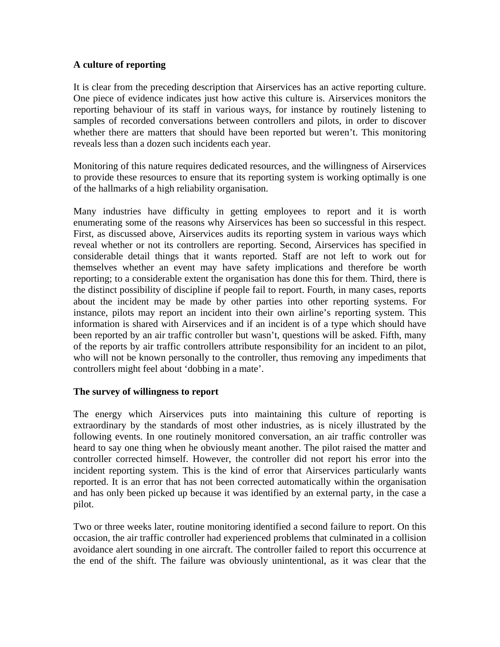### **A culture of reporting**

It is clear from the preceding description that Airservices has an active reporting culture. One piece of evidence indicates just how active this culture is. Airservices monitors the reporting behaviour of its staff in various ways, for instance by routinely listening to samples of recorded conversations between controllers and pilots, in order to discover whether there are matters that should have been reported but weren't. This monitoring reveals less than a dozen such incidents each year.

Monitoring of this nature requires dedicated resources, and the willingness of Airservices to provide these resources to ensure that its reporting system is working optimally is one of the hallmarks of a high reliability organisation.

Many industries have difficulty in getting employees to report and it is worth enumerating some of the reasons why Airservices has been so successful in this respect. First, as discussed above, Airservices audits its reporting system in various ways which reveal whether or not its controllers are reporting. Second, Airservices has specified in considerable detail things that it wants reported. Staff are not left to work out for themselves whether an event may have safety implications and therefore be worth reporting; to a considerable extent the organisation has done this for them. Third, there is the distinct possibility of discipline if people fail to report. Fourth, in many cases, reports about the incident may be made by other parties into other reporting systems. For instance, pilots may report an incident into their own airline's reporting system. This information is shared with Airservices and if an incident is of a type which should have been reported by an air traffic controller but wasn't, questions will be asked. Fifth, many of the reports by air traffic controllers attribute responsibility for an incident to an pilot, who will not be known personally to the controller, thus removing any impediments that controllers might feel about 'dobbing in a mate'.

#### **The survey of willingness to report**

The energy which Airservices puts into maintaining this culture of reporting is extraordinary by the standards of most other industries, as is nicely illustrated by the following events. In one routinely monitored conversation, an air traffic controller was heard to say one thing when he obviously meant another. The pilot raised the matter and controller corrected himself. However, the controller did not report his error into the incident reporting system. This is the kind of error that Airservices particularly wants reported. It is an error that has not been corrected automatically within the organisation and has only been picked up because it was identified by an external party, in the case a pilot.

Two or three weeks later, routine monitoring identified a second failure to report. On this occasion, the air traffic controller had experienced problems that culminated in a collision avoidance alert sounding in one aircraft. The controller failed to report this occurrence at the end of the shift. The failure was obviously unintentional, as it was clear that the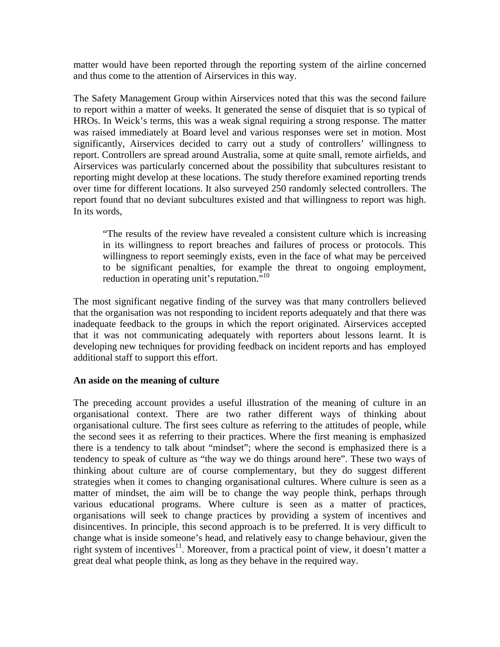matter would have been reported through the reporting system of the airline concerned and thus come to the attention of Airservices in this way.

The Safety Management Group within Airservices noted that this was the second failure to report within a matter of weeks. It generated the sense of disquiet that is so typical of HROs. In Weick's terms, this was a weak signal requiring a strong response. The matter was raised immediately at Board level and various responses were set in motion. Most significantly, Airservices decided to carry out a study of controllers' willingness to report. Controllers are spread around Australia, some at quite small, remote airfields, and Airservices was particularly concerned about the possibility that subcultures resistant to reporting might develop at these locations. The study therefore examined reporting trends over time for different locations. It also surveyed 250 randomly selected controllers. The report found that no deviant subcultures existed and that willingness to report was high. In its words,

"The results of the review have revealed a consistent culture which is increasing in its willingness to report breaches and failures of process or protocols. This willingness to report seemingly exists, even in the face of what may be perceived to be significant penalties, for example the threat to ongoing employment, reduction in operating unit's reputation. $\overline{N}^{10}$  $\overline{N}^{10}$  $\overline{N}^{10}$ 

The most significant negative finding of the survey was that many controllers believed that the organisation was not responding to incident reports adequately and that there was inadequate feedback to the groups in which the report originated. Airservices accepted that it was not communicating adequately with reporters about lessons learnt. It is developing new techniques for providing feedback on incident reports and has employed additional staff to support this effort.

#### **An aside on the meaning of culture**

The preceding account provides a useful illustration of the meaning of culture in an organisational context. There are two rather different ways of thinking about organisational culture. The first sees culture as referring to the attitudes of people, while the second sees it as referring to their practices. Where the first meaning is emphasized there is a tendency to talk about "mindset"; where the second is emphasized there is a tendency to speak of culture as "the way we do things around here". These two ways of thinking about culture are of course complementary, but they do suggest different strategies when it comes to changing organisational cultures. Where culture is seen as a matter of mindset, the aim will be to change the way people think, perhaps through various educational programs. Where culture is seen as a matter of practices, organisations will seek to change practices by providing a system of incentives and disincentives. In principle, this second approach is to be preferred. It is very difficult to change what is inside someone's head, and relatively easy to change behaviour, given the right system of incentives<sup>11</sup>. Moreover, from a practical point of view, it doesn't matter a great deal what people think, as long as they behave in the required way.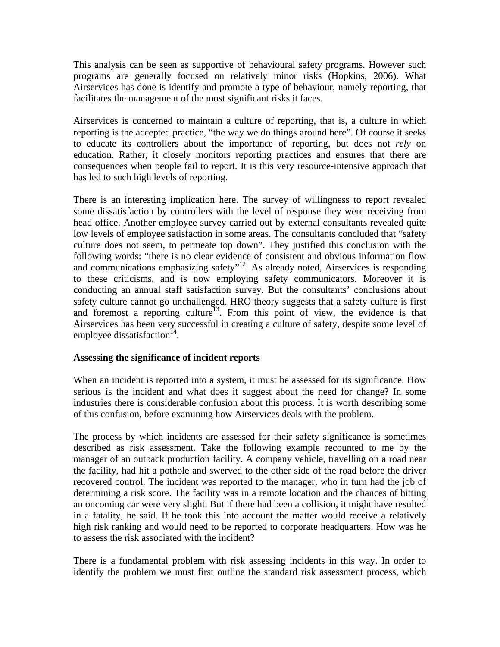This analysis can be seen as supportive of behavioural safety programs. However such programs are generally focused on relatively minor risks (Hopkins, 2006). What Airservices has done is identify and promote a type of behaviour, namely reporting, that facilitates the management of the most significant risks it faces.

Airservices is concerned to maintain a culture of reporting, that is, a culture in which reporting is the accepted practice, "the way we do things around here". Of course it seeks to educate its controllers about the importance of reporting, but does not *rely* on education. Rather, it closely monitors reporting practices and ensures that there are consequences when people fail to report. It is this very resource-intensive approach that has led to such high levels of reporting.

There is an interesting implication here. The survey of willingness to report revealed some dissatisfaction by controllers with the level of response they were receiving from head office. Another employee survey carried out by external consultants revealed quite low levels of employee satisfaction in some areas. The consultants concluded that "safety culture does not seem, to permeate top down". They justified this conclusion with the following words: "there is no clear evidence of consistent and obvious information flow and communications emphasizing safety $n^{12}$ . As already noted, Airservices is responding to these criticisms, and is now employing safety communicators. Moreover it is conducting an annual staff satisfaction survey. But the consultants' conclusions about safety culture cannot go unchallenged. HRO theory suggests that a safety culture is first and foremost a reporting culture<sup>13</sup>. From this point of view, the evidence is that Airservices has been very successful in creating a culture of safety, despite some level of employee dissatisfaction<sup>14</sup>.

#### **Assessing the significance of incident reports**

When an incident is reported into a system, it must be assessed for its significance. How serious is the incident and what does it suggest about the need for change? In some industries there is considerable confusion about this process. It is worth describing some of this confusion, before examining how Airservices deals with the problem.

The process by which incidents are assessed for their safety significance is sometimes described as risk assessment. Take the following example recounted to me by the manager of an outback production facility. A company vehicle, travelling on a road near the facility, had hit a pothole and swerved to the other side of the road before the driver recovered control. The incident was reported to the manager, who in turn had the job of determining a risk score. The facility was in a remote location and the chances of hitting an oncoming car were very slight. But if there had been a collision, it might have resulted in a fatality, he said. If he took this into account the matter would receive a relatively high risk ranking and would need to be reported to corporate headquarters. How was he to assess the risk associated with the incident?

There is a fundamental problem with risk assessing incidents in this way. In order to identify the problem we must first outline the standard risk assessment process, which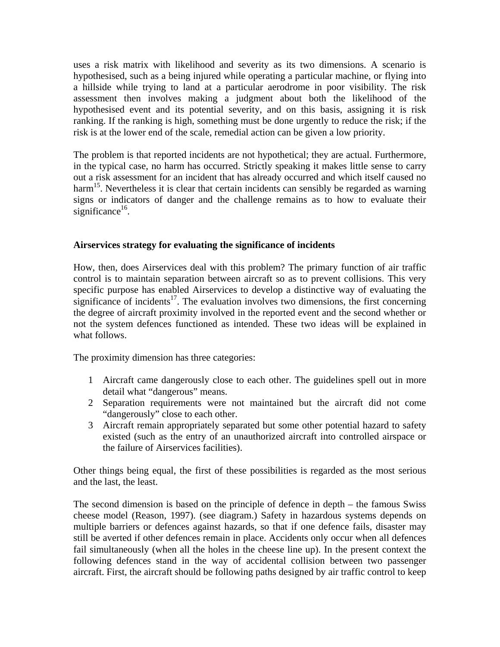uses a risk matrix with likelihood and severity as its two dimensions. A scenario is hypothesised, such as a being injured while operating a particular machine, or flying into a hillside while trying to land at a particular aerodrome in poor visibility. The risk assessment then involves making a judgment about both the likelihood of the hypothesised event and its potential severity, and on this basis, assigning it is risk ranking. If the ranking is high, something must be done urgently to reduce the risk; if the risk is at the lower end of the scale, remedial action can be given a low priority.

The problem is that reported incidents are not hypothetical; they are actual. Furthermore, in the typical case, no harm has occurred. Strictly speaking it makes little sense to carry out a risk assessment for an incident that has already occurred and which itself caused no harm<sup>15</sup>. Nevertheless it is clear that certain incidents can sensibly be regarded as warning signs or indicators of danger and the challenge remains as to how to evaluate their significance $^{16}$ .

#### **Airservices strategy for evaluating the significance of incidents**

How, then, does Airservices deal with this problem? The primary function of air traffic control is to maintain separation between aircraft so as to prevent collisions. This very specific purpose has enabled Airservices to develop a distinctive way of evaluating the significance of incidents<sup>17</sup>. The evaluation involves two dimensions, the first concerning the degree of aircraft proximity involved in the reported event and the second whether or not the system defences functioned as intended. These two ideas will be explained in what follows.

The proximity dimension has three categories:

- 1 Aircraft came dangerously close to each other. The guidelines spell out in more detail what "dangerous" means.
- 2 Separation requirements were not maintained but the aircraft did not come "dangerously" close to each other.
- 3 Aircraft remain appropriately separated but some other potential hazard to safety existed (such as the entry of an unauthorized aircraft into controlled airspace or the failure of Airservices facilities).

Other things being equal, the first of these possibilities is regarded as the most serious and the last, the least.

The second dimension is based on the principle of defence in depth – the famous Swiss cheese model (Reason, 1997). (see diagram.) Safety in hazardous systems depends on multiple barriers or defences against hazards, so that if one defence fails, disaster may still be averted if other defences remain in place. Accidents only occur when all defences fail simultaneously (when all the holes in the cheese line up). In the present context the following defences stand in the way of accidental collision between two passenger aircraft. First, the aircraft should be following paths designed by air traffic control to keep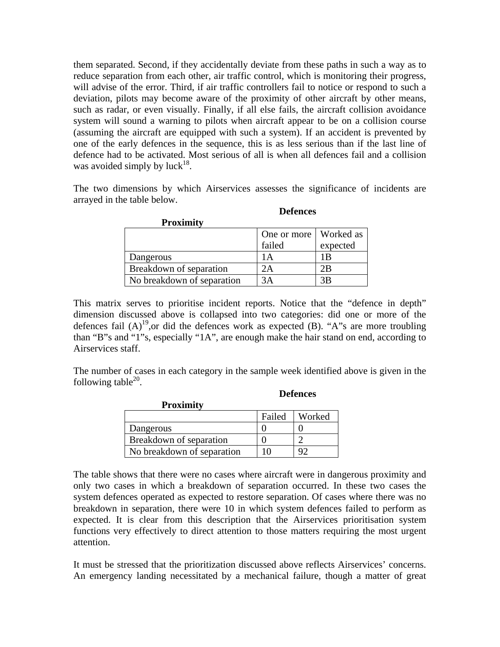them separated. Second, if they accidentally deviate from these paths in such a way as to reduce separation from each other, air traffic control, which is monitoring their progress, will advise of the error. Third, if air traffic controllers fail to notice or respond to such a deviation, pilots may become aware of the proximity of other aircraft by other means, such as radar, or even visually. Finally, if all else fails, the aircraft collision avoidance system will sound a warning to pilots when aircraft appear to be on a collision course (assuming the aircraft are equipped with such a system). If an accident is prevented by one of the early defences in the sequence, this is as less serious than if the last line of defence had to be activated. Most serious of all is when all defences fail and a collision was avoided simply by luck<sup>18</sup>.

The two dimensions by which Airservices assesses the significance of incidents are arrayed in the table below.

| <b>Proximity</b>           |                         |          |
|----------------------------|-------------------------|----------|
|                            | One or more   Worked as |          |
|                            | failed                  | expected |
| Dangerous                  |                         |          |
| Breakdown of separation    |                         |          |
| No breakdown of separation |                         |          |

This matrix serves to prioritise incident reports. Notice that the "defence in depth" dimension discussed above is collapsed into two categories: did one or more of the defences fail  $(A)$ <sup>19</sup>, or did the defences work as expected (B). "A"s are more troubling than "B"s and "1"s, especially "1A", are enough make the hair stand on end, according to Airservices staff.

The number of cases in each category in the sample week identified above is given in the following table $^{20}$ .

|                            |        | ----------- |  |
|----------------------------|--------|-------------|--|
| <b>Proximity</b>           |        |             |  |
|                            | Failed | Worked      |  |
| Dangerous                  |        |             |  |
| Breakdown of separation    |        |             |  |
| No breakdown of separation |        | O٦          |  |

The table shows that there were no cases where aircraft were in dangerous proximity and only two cases in which a breakdown of separation occurred. In these two cases the system defences operated as expected to restore separation. Of cases where there was no breakdown in separation, there were 10 in which system defences failed to perform as expected. It is clear from this description that the Airservices prioritisation system functions very effectively to direct attention to those matters requiring the most urgent attention.

It must be stressed that the prioritization discussed above reflects Airservices' concerns. An emergency landing necessitated by a mechanical failure, though a matter of great

#### **Defences**

**Defences**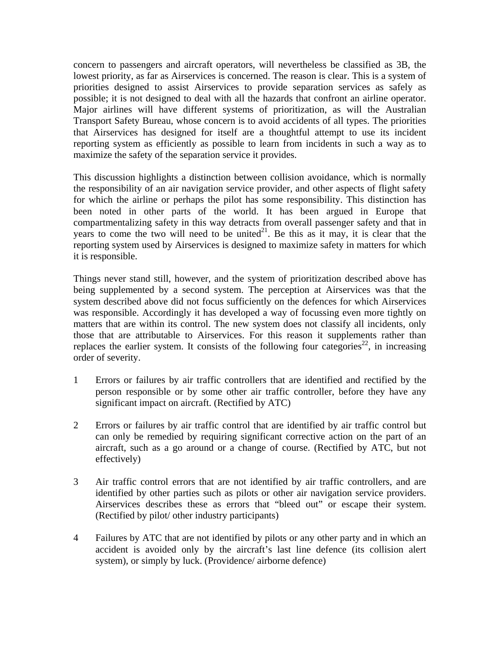concern to passengers and aircraft operators, will nevertheless be classified as 3B, the lowest priority, as far as Airservices is concerned. The reason is clear. This is a system of priorities designed to assist Airservices to provide separation services as safely as possible; it is not designed to deal with all the hazards that confront an airline operator. Major airlines will have different systems of prioritization, as will the Australian Transport Safety Bureau, whose concern is to avoid accidents of all types. The priorities that Airservices has designed for itself are a thoughtful attempt to use its incident reporting system as efficiently as possible to learn from incidents in such a way as to maximize the safety of the separation service it provides.

This discussion highlights a distinction between collision avoidance, which is normally the responsibility of an air navigation service provider, and other aspects of flight safety for which the airline or perhaps the pilot has some responsibility. This distinction has been noted in other parts of the world. It has been argued in Europe that compartmentalizing safety in this way detracts from overall passenger safety and that in years to come the two will need to be united<sup>21</sup>. Be this as it may, it is clear that the reporting system used by Airservices is designed to maximize safety in matters for which it is responsible.

Things never stand still, however, and the system of prioritization described above has being supplemented by a second system. The perception at Airservices was that the system described above did not focus sufficiently on the defences for which Airservices was responsible. Accordingly it has developed a way of focussing even more tightly on matters that are within its control. The new system does not classify all incidents, only those that are attributable to Airservices. For this reason it supplements rather than replaces the earlier system. It consists of the following four categories<sup>22</sup>, in increasing order of severity.

- 1 Errors or failures by air traffic controllers that are identified and rectified by the person responsible or by some other air traffic controller, before they have any significant impact on aircraft. (Rectified by ATC)
- 2 Errors or failures by air traffic control that are identified by air traffic control but can only be remedied by requiring significant corrective action on the part of an aircraft, such as a go around or a change of course. (Rectified by ATC, but not effectively)
- 3 Air traffic control errors that are not identified by air traffic controllers, and are identified by other parties such as pilots or other air navigation service providers. Airservices describes these as errors that "bleed out" or escape their system. (Rectified by pilot/ other industry participants)
- 4 Failures by ATC that are not identified by pilots or any other party and in which an accident is avoided only by the aircraft's last line defence (its collision alert system), or simply by luck. (Providence/ airborne defence)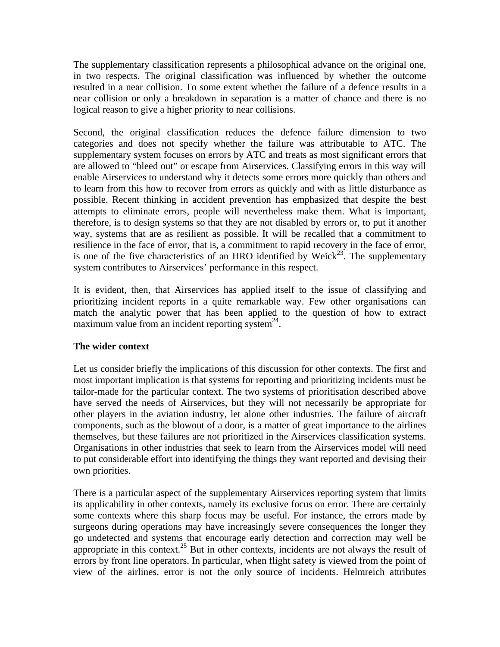The supplementary classification represents a philosophical advance on the original one, in two respects. The original classification was influenced by whether the outcome resulted in a near collision. To some extent whether the failure of a defence results in a near collision or only a breakdown in separation is a matter of chance and there is no logical reason to give a higher priority to near collisions.

Second, the original classification reduces the defence failure dimension to two categories and does not specify whether the failure was attributable to ATC. The supplementary system focuses on errors by ATC and treats as most significant errors that are allowed to "bleed out" or escape from Airservices. Classifying errors in this way will enable Airservices to understand why it detects some errors more quickly than others and to learn from this how to recover from errors as quickly and with as little disturbance as possible. Recent thinking in accident prevention has emphasized that despite the best attempts to eliminate errors, people will nevertheless make them. What is important, therefore, is to design systems so that they are not disabled by errors or, to put it another way, systems that are as resilient as possible. It will be recalled that a commitment to resilience in the face of error, that is, a commitment to rapid recovery in the face of error, is one of the five characteristics of an HRO identified by Weick<sup>23</sup>. The supplementary system contributes to Airservices' performance in this respect.

It is evident, then, that Airservices has applied itself to the issue of classifying and prioritizing incident reports in a quite remarkable way. Few other organisations can match the analytic power that has been applied to the question of how to extract maximum value from an incident reporting system $^{24}$ .

### **The wider context**

Let us consider briefly the implications of this discussion for other contexts. The first and most important implication is that systems for reporting and prioritizing incidents must be tailor-made for the particular context. The two systems of prioritisation described above have served the needs of Airservices, but they will not necessarily be appropriate for other players in the aviation industry, let alone other industries. The failure of aircraft components, such as the blowout of a door, is a matter of great importance to the airlines themselves, but these failures are not prioritized in the Airservices classification systems. Organisations in other industries that seek to learn from the Airservices model will need to put considerable effort into identifying the things they want reported and devising their own priorities.

There is a particular aspect of the supplementary Airservices reporting system that limits its applicability in other contexts, namely its exclusive focus on error. There are certainly some contexts where this sharp focus may be useful. For instance, the errors made by surgeons during operations may have increasingly severe consequences the longer they go undetected and systems that encourage early detection and correction may well be appropriate in this context.<sup>25</sup> But in other contexts, incidents are not always the result of errors by front line operators. In particular, when flight safety is viewed from the point of view of the airlines, error is not the only source of incidents. Helmreich attributes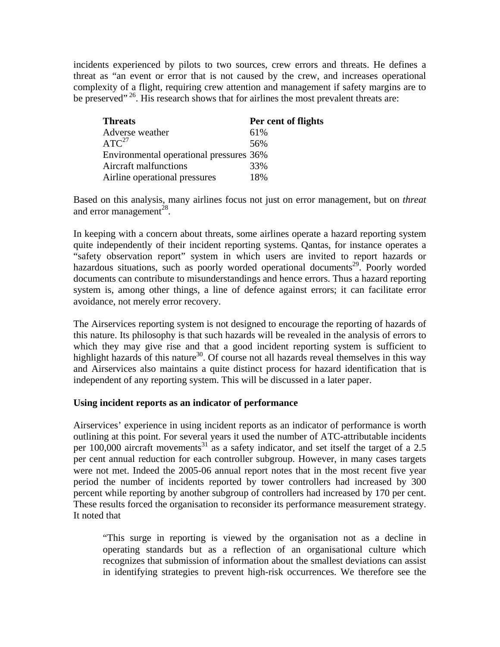incidents experienced by pilots to two sources, crew errors and threats. He defines a threat as "an event or error that is not caused by the crew, and increases operational complexity of a flight, requiring crew attention and management if safety margins are to be preserved"<sup>26</sup>. His research shows that for airlines the most prevalent threats are:

| <b>Threats</b>                          | Per cent of flights |
|-----------------------------------------|---------------------|
| Adverse weather                         | 61%                 |
| ATC <sup>27</sup>                       | 56%                 |
| Environmental operational pressures 36% |                     |
| Aircraft malfunctions                   | 33%                 |
| Airline operational pressures           | 18%                 |

Based on this analysis, many airlines focus not just on error management, but on *threat* and error management<sup>28</sup>.

In keeping with a concern about threats, some airlines operate a hazard reporting system quite independently of their incident reporting systems. Qantas, for instance operates a "safety observation report" system in which users are invited to report hazards or hazardous situations, such as poorly worded operational documents<sup>29</sup>. Poorly worded documents can contribute to misunderstandings and hence errors. Thus a hazard reporting system is, among other things, a line of defence against errors; it can facilitate error avoidance, not merely error recovery.

The Airservices reporting system is not designed to encourage the reporting of hazards of this nature. Its philosophy is that such hazards will be revealed in the analysis of errors to which they may give rise and that a good incident reporting system is sufficient to highlight hazards of this nature $30$ . Of course not all hazards reveal themselves in this way and Airservices also maintains a quite distinct process for hazard identification that is independent of any reporting system. This will be discussed in a later paper.

#### **Using incident reports as an indicator of performance**

Airservices' experience in using incident reports as an indicator of performance is worth outlining at this point. For several years it used the number of ATC-attributable incidents per 100,000 aircraft movements<sup>31</sup> as a safety indicator, and set itself the target of a 2.5 per cent annual reduction for each controller subgroup. However, in many cases targets were not met. Indeed the 2005-06 annual report notes that in the most recent five year period the number of incidents reported by tower controllers had increased by 300 percent while reporting by another subgroup of controllers had increased by 170 per cent. These results forced the organisation to reconsider its performance measurement strategy. It noted that

"This surge in reporting is viewed by the organisation not as a decline in operating standards but as a reflection of an organisational culture which recognizes that submission of information about the smallest deviations can assist in identifying strategies to prevent high-risk occurrences. We therefore see the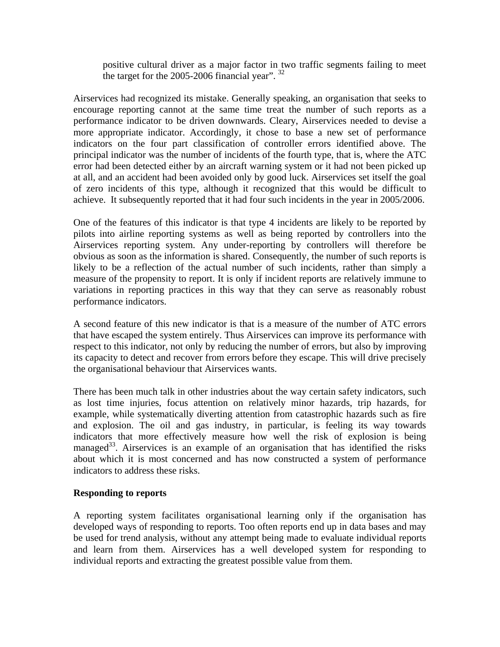positive cultural driver as a major factor in two traffic segments failing to meet the target for the 2005-2006 financial year".  $32$ 

Airservices had recognized its mistake. Generally speaking, an organisation that seeks to encourage reporting cannot at the same time treat the number of such reports as a performance indicator to be driven downwards. Cleary, Airservices needed to devise a more appropriate indicator. Accordingly, it chose to base a new set of performance indicators on the four part classification of controller errors identified above. The principal indicator was the number of incidents of the fourth type, that is, where the ATC error had been detected either by an aircraft warning system or it had not been picked up at all, and an accident had been avoided only by good luck. Airservices set itself the goal of zero incidents of this type, although it recognized that this would be difficult to achieve. It subsequently reported that it had four such incidents in the year in 2005/2006.

One of the features of this indicator is that type 4 incidents are likely to be reported by pilots into airline reporting systems as well as being reported by controllers into the Airservices reporting system. Any under-reporting by controllers will therefore be obvious as soon as the information is shared. Consequently, the number of such reports is likely to be a reflection of the actual number of such incidents, rather than simply a measure of the propensity to report. It is only if incident reports are relatively immune to variations in reporting practices in this way that they can serve as reasonably robust performance indicators.

A second feature of this new indicator is that is a measure of the number of ATC errors that have escaped the system entirely. Thus Airservices can improve its performance with respect to this indicator, not only by reducing the number of errors, but also by improving its capacity to detect and recover from errors before they escape. This will drive precisely the organisational behaviour that Airservices wants.

There has been much talk in other industries about the way certain safety indicators, such as lost time injuries, focus attention on relatively minor hazards, trip hazards, for example, while systematically diverting attention from catastrophic hazards such as fire and explosion. The oil and gas industry, in particular, is feeling its way towards indicators that more effectively measure how well the risk of explosion is being managed<sup>33</sup>. Airservices is an example of an organisation that has identified the risks about which it is most concerned and has now constructed a system of performance indicators to address these risks.

#### **Responding to reports**

A reporting system facilitates organisational learning only if the organisation has developed ways of responding to reports. Too often reports end up in data bases and may be used for trend analysis, without any attempt being made to evaluate individual reports and learn from them. Airservices has a well developed system for responding to individual reports and extracting the greatest possible value from them.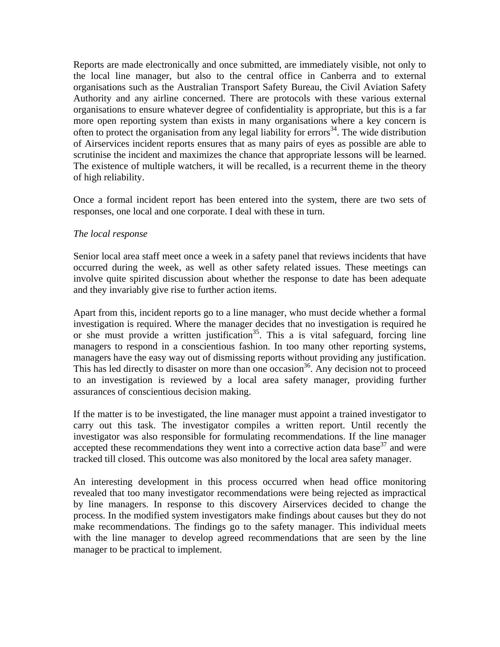Reports are made electronically and once submitted, are immediately visible, not only to the local line manager, but also to the central office in Canberra and to external organisations such as the Australian Transport Safety Bureau, the Civil Aviation Safety Authority and any airline concerned. There are protocols with these various external organisations to ensure whatever degree of confidentiality is appropriate, but this is a far more open reporting system than exists in many organisations where a key concern is often to protect the organisation from any legal liability for errors<sup>34</sup>. The wide distribution of Airservices incident reports ensures that as many pairs of eyes as possible are able to scrutinise the incident and maximizes the chance that appropriate lessons will be learned. The existence of multiple watchers, it will be recalled, is a recurrent theme in the theory of high reliability.

Once a formal incident report has been entered into the system, there are two sets of responses, one local and one corporate. I deal with these in turn.

#### *The local response*

Senior local area staff meet once a week in a safety panel that reviews incidents that have occurred during the week, as well as other safety related issues. These meetings can involve quite spirited discussion about whether the response to date has been adequate and they invariably give rise to further action items.

Apart from this, incident reports go to a line manager, who must decide whether a formal investigation is required. Where the manager decides that no investigation is required he or she must provide a written justification<sup>35</sup>. This a is vital safeguard, forcing line managers to respond in a conscientious fashion. In too many other reporting systems, managers have the easy way out of dismissing reports without providing any justification. This has led directly to disaster on more than one occasion<sup>36</sup>. Any decision not to proceed to an investigation is reviewed by a local area safety manager, providing further assurances of conscientious decision making.

If the matter is to be investigated, the line manager must appoint a trained investigator to carry out this task. The investigator compiles a written report. Until recently the investigator was also responsible for formulating recommendations. If the line manager accepted these recommendations they went into a corrective action data base<sup>37</sup> and were tracked till closed. This outcome was also monitored by the local area safety manager.

An interesting development in this process occurred when head office monitoring revealed that too many investigator recommendations were being rejected as impractical by line managers. In response to this discovery Airservices decided to change the process. In the modified system investigators make findings about causes but they do not make recommendations. The findings go to the safety manager. This individual meets with the line manager to develop agreed recommendations that are seen by the line manager to be practical to implement.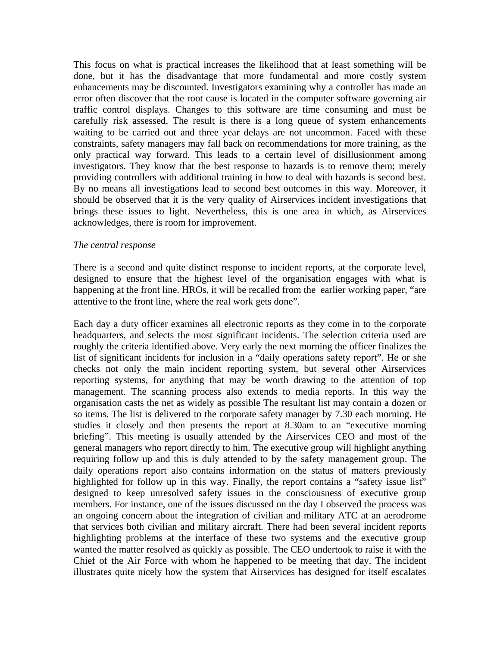This focus on what is practical increases the likelihood that at least something will be done, but it has the disadvantage that more fundamental and more costly system enhancements may be discounted. Investigators examining why a controller has made an error often discover that the root cause is located in the computer software governing air traffic control displays. Changes to this software are time consuming and must be carefully risk assessed. The result is there is a long queue of system enhancements waiting to be carried out and three year delays are not uncommon. Faced with these constraints, safety managers may fall back on recommendations for more training, as the only practical way forward. This leads to a certain level of disillusionment among investigators. They know that the best response to hazards is to remove them; merely providing controllers with additional training in how to deal with hazards is second best. By no means all investigations lead to second best outcomes in this way. Moreover, it should be observed that it is the very quality of Airservices incident investigations that brings these issues to light. Nevertheless, this is one area in which, as Airservices acknowledges, there is room for improvement.

#### *The central response*

There is a second and quite distinct response to incident reports, at the corporate level, designed to ensure that the highest level of the organisation engages with what is happening at the front line. HROs, it will be recalled from the earlier working paper, "are attentive to the front line, where the real work gets done".

Each day a duty officer examines all electronic reports as they come in to the corporate headquarters, and selects the most significant incidents. The selection criteria used are roughly the criteria identified above. Very early the next morning the officer finalizes the list of significant incidents for inclusion in a "daily operations safety report". He or she checks not only the main incident reporting system, but several other Airservices reporting systems, for anything that may be worth drawing to the attention of top management. The scanning process also extends to media reports. In this way the organisation casts the net as widely as possible The resultant list may contain a dozen or so items. The list is delivered to the corporate safety manager by 7.30 each morning. He studies it closely and then presents the report at 8.30am to an "executive morning briefing". This meeting is usually attended by the Airservices CEO and most of the general managers who report directly to him. The executive group will highlight anything requiring follow up and this is duly attended to by the safety management group. The daily operations report also contains information on the status of matters previously highlighted for follow up in this way. Finally, the report contains a "safety issue list" designed to keep unresolved safety issues in the consciousness of executive group members. For instance, one of the issues discussed on the day I observed the process was an ongoing concern about the integration of civilian and military ATC at an aerodrome that services both civilian and military aircraft. There had been several incident reports highlighting problems at the interface of these two systems and the executive group wanted the matter resolved as quickly as possible. The CEO undertook to raise it with the Chief of the Air Force with whom he happened to be meeting that day. The incident illustrates quite nicely how the system that Airservices has designed for itself escalates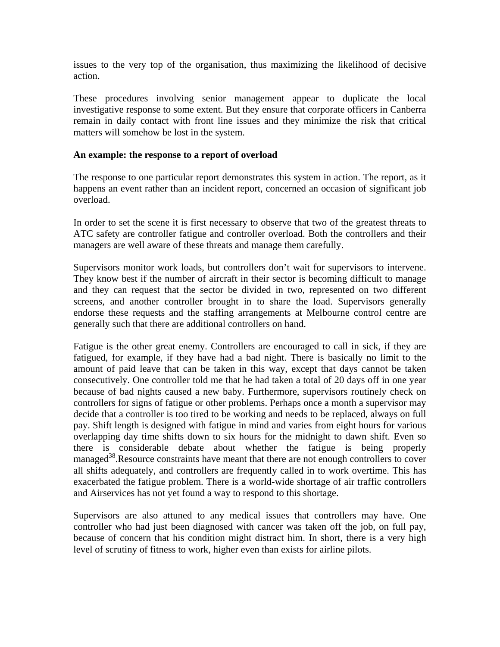issues to the very top of the organisation, thus maximizing the likelihood of decisive action.

These procedures involving senior management appear to duplicate the local investigative response to some extent. But they ensure that corporate officers in Canberra remain in daily contact with front line issues and they minimize the risk that critical matters will somehow be lost in the system.

#### **An example: the response to a report of overload**

The response to one particular report demonstrates this system in action. The report, as it happens an event rather than an incident report, concerned an occasion of significant job overload.

In order to set the scene it is first necessary to observe that two of the greatest threats to ATC safety are controller fatigue and controller overload. Both the controllers and their managers are well aware of these threats and manage them carefully.

Supervisors monitor work loads, but controllers don't wait for supervisors to intervene. They know best if the number of aircraft in their sector is becoming difficult to manage and they can request that the sector be divided in two, represented on two different screens, and another controller brought in to share the load. Supervisors generally endorse these requests and the staffing arrangements at Melbourne control centre are generally such that there are additional controllers on hand.

Fatigue is the other great enemy. Controllers are encouraged to call in sick, if they are fatigued, for example, if they have had a bad night. There is basically no limit to the amount of paid leave that can be taken in this way, except that days cannot be taken consecutively. One controller told me that he had taken a total of 20 days off in one year because of bad nights caused a new baby. Furthermore, supervisors routinely check on controllers for signs of fatigue or other problems. Perhaps once a month a supervisor may decide that a controller is too tired to be working and needs to be replaced, always on full pay. Shift length is designed with fatigue in mind and varies from eight hours for various overlapping day time shifts down to six hours for the midnight to dawn shift. Even so there is considerable debate about whether the fatigue is being properly managed<sup>38</sup>.Resource constraints have meant that there are not enough controllers to cover all shifts adequately, and controllers are frequently called in to work overtime. This has exacerbated the fatigue problem. There is a world-wide shortage of air traffic controllers and Airservices has not yet found a way to respond to this shortage.

Supervisors are also attuned to any medical issues that controllers may have. One controller who had just been diagnosed with cancer was taken off the job, on full pay, because of concern that his condition might distract him. In short, there is a very high level of scrutiny of fitness to work, higher even than exists for airline pilots.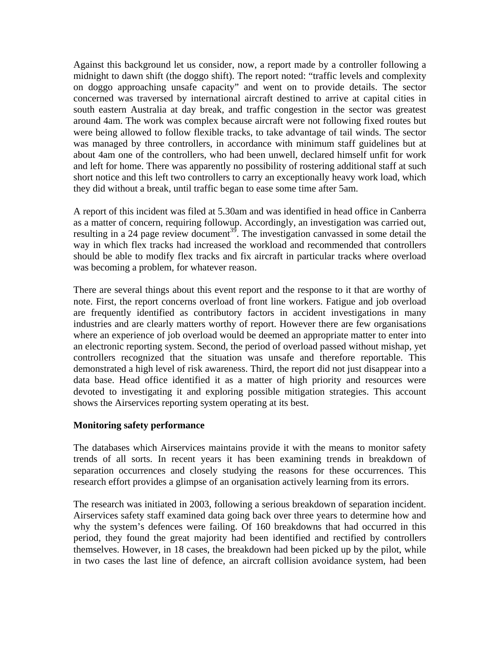Against this background let us consider, now, a report made by a controller following a midnight to dawn shift (the doggo shift). The report noted: "traffic levels and complexity on doggo approaching unsafe capacity" and went on to provide details. The sector concerned was traversed by international aircraft destined to arrive at capital cities in south eastern Australia at day break, and traffic congestion in the sector was greatest around 4am. The work was complex because aircraft were not following fixed routes but were being allowed to follow flexible tracks, to take advantage of tail winds. The sector was managed by three controllers, in accordance with minimum staff guidelines but at about 4am one of the controllers, who had been unwell, declared himself unfit for work and left for home. There was apparently no possibility of rostering additional staff at such short notice and this left two controllers to carry an exceptionally heavy work load, which they did without a break, until traffic began to ease some time after 5am.

A report of this incident was filed at 5.30am and was identified in head office in Canberra as a matter of concern, requiring followup. Accordingly, an investigation was carried out, resulting in a 24 page review document<sup>39</sup>. The investigation canvassed in some detail the way in which flex tracks had increased the workload and recommended that controllers should be able to modify flex tracks and fix aircraft in particular tracks where overload was becoming a problem, for whatever reason.

There are several things about this event report and the response to it that are worthy of note. First, the report concerns overload of front line workers. Fatigue and job overload are frequently identified as contributory factors in accident investigations in many industries and are clearly matters worthy of report. However there are few organisations where an experience of job overload would be deemed an appropriate matter to enter into an electronic reporting system. Second, the period of overload passed without mishap, yet controllers recognized that the situation was unsafe and therefore reportable. This demonstrated a high level of risk awareness. Third, the report did not just disappear into a data base. Head office identified it as a matter of high priority and resources were devoted to investigating it and exploring possible mitigation strategies. This account shows the Airservices reporting system operating at its best.

#### **Monitoring safety performance**

The databases which Airservices maintains provide it with the means to monitor safety trends of all sorts. In recent years it has been examining trends in breakdown of separation occurrences and closely studying the reasons for these occurrences. This research effort provides a glimpse of an organisation actively learning from its errors.

The research was initiated in 2003, following a serious breakdown of separation incident. Airservices safety staff examined data going back over three years to determine how and why the system's defences were failing. Of 160 breakdowns that had occurred in this period, they found the great majority had been identified and rectified by controllers themselves. However, in 18 cases, the breakdown had been picked up by the pilot, while in two cases the last line of defence, an aircraft collision avoidance system, had been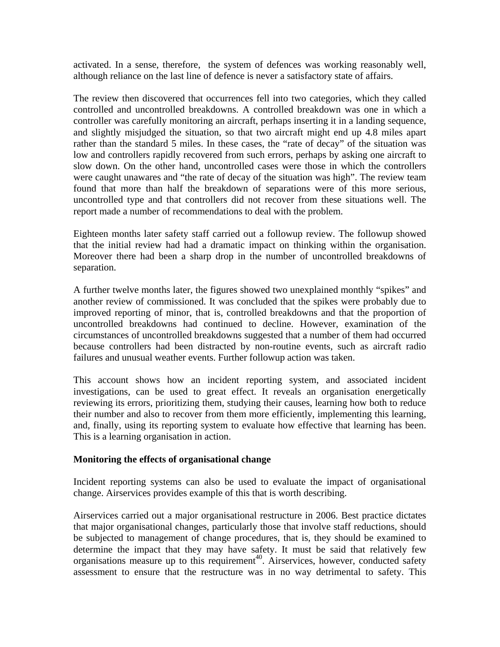activated. In a sense, therefore, the system of defences was working reasonably well, although reliance on the last line of defence is never a satisfactory state of affairs.

The review then discovered that occurrences fell into two categories, which they called controlled and uncontrolled breakdowns. A controlled breakdown was one in which a controller was carefully monitoring an aircraft, perhaps inserting it in a landing sequence, and slightly misjudged the situation, so that two aircraft might end up 4.8 miles apart rather than the standard 5 miles. In these cases, the "rate of decay" of the situation was low and controllers rapidly recovered from such errors, perhaps by asking one aircraft to slow down. On the other hand, uncontrolled cases were those in which the controllers were caught unawares and "the rate of decay of the situation was high". The review team found that more than half the breakdown of separations were of this more serious, uncontrolled type and that controllers did not recover from these situations well. The report made a number of recommendations to deal with the problem.

Eighteen months later safety staff carried out a followup review. The followup showed that the initial review had had a dramatic impact on thinking within the organisation. Moreover there had been a sharp drop in the number of uncontrolled breakdowns of separation.

A further twelve months later, the figures showed two unexplained monthly "spikes" and another review of commissioned. It was concluded that the spikes were probably due to improved reporting of minor, that is, controlled breakdowns and that the proportion of uncontrolled breakdowns had continued to decline. However, examination of the circumstances of uncontrolled breakdowns suggested that a number of them had occurred because controllers had been distracted by non-routine events, such as aircraft radio failures and unusual weather events. Further followup action was taken.

This account shows how an incident reporting system, and associated incident investigations, can be used to great effect. It reveals an organisation energetically reviewing its errors, prioritizing them, studying their causes, learning how both to reduce their number and also to recover from them more efficiently, implementing this learning, and, finally, using its reporting system to evaluate how effective that learning has been. This is a learning organisation in action.

#### **Monitoring the effects of organisational change**

Incident reporting systems can also be used to evaluate the impact of organisational change. Airservices provides example of this that is worth describing.

Airservices carried out a major organisational restructure in 2006. Best practice dictates that major organisational changes, particularly those that involve staff reductions, should be subjected to management of change procedures, that is, they should be examined to determine the impact that they may have safety. It must be said that relatively few organisations measure up to this requirement<sup>40</sup>. Airservices, however, conducted safety assessment to ensure that the restructure was in no way detrimental to safety. This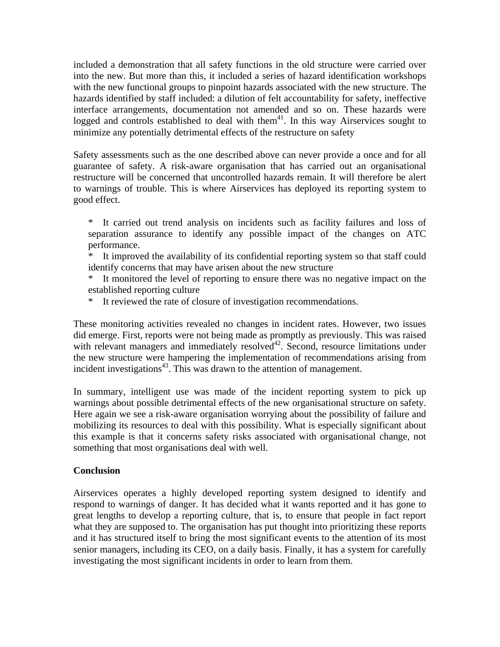included a demonstration that all safety functions in the old structure were carried over into the new. But more than this, it included a series of hazard identification workshops with the new functional groups to pinpoint hazards associated with the new structure. The hazards identified by staff included: a dilution of felt accountability for safety, ineffective interface arrangements, documentation not amended and so on. These hazards were logged and controls established to deal with them $41$ . In this way Airservices sought to minimize any potentially detrimental effects of the restructure on safety

Safety assessments such as the one described above can never provide a once and for all guarantee of safety. A risk-aware organisation that has carried out an organisational restructure will be concerned that uncontrolled hazards remain. It will therefore be alert to warnings of trouble. This is where Airservices has deployed its reporting system to good effect.

\* It carried out trend analysis on incidents such as facility failures and loss of separation assurance to identify any possible impact of the changes on ATC performance.

\* It improved the availability of its confidential reporting system so that staff could identify concerns that may have arisen about the new structure

\* It monitored the level of reporting to ensure there was no negative impact on the established reporting culture

\* It reviewed the rate of closure of investigation recommendations.

These monitoring activities revealed no changes in incident rates. However, two issues did emerge. First, reports were not being made as promptly as previously. This was raised with relevant managers and immediately resolved<sup>42</sup>. Second, resource limitations under the new structure were hampering the implementation of recommendations arising from incident investigations<sup>43</sup>. This was drawn to the attention of management.

In summary, intelligent use was made of the incident reporting system to pick up warnings about possible detrimental effects of the new organisational structure on safety. Here again we see a risk-aware organisation worrying about the possibility of failure and mobilizing its resources to deal with this possibility. What is especially significant about this example is that it concerns safety risks associated with organisational change, not something that most organisations deal with well.

#### **Conclusion**

Airservices operates a highly developed reporting system designed to identify and respond to warnings of danger. It has decided what it wants reported and it has gone to great lengths to develop a reporting culture, that is, to ensure that people in fact report what they are supposed to. The organisation has put thought into prioritizing these reports and it has structured itself to bring the most significant events to the attention of its most senior managers, including its CEO, on a daily basis. Finally, it has a system for carefully investigating the most significant incidents in order to learn from them.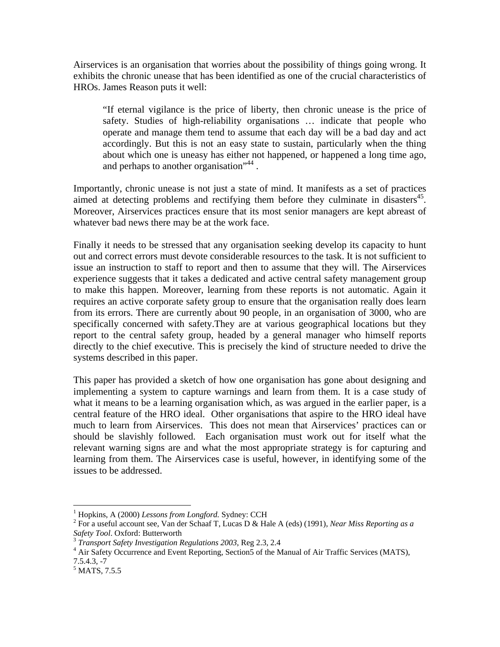Airservices is an organisation that worries about the possibility of things going wrong. It exhibits the chronic unease that has been identified as one of the crucial characteristics of HROs. James Reason puts it well:

"If eternal vigilance is the price of liberty, then chronic unease is the price of safety. Studies of high-reliability organisations … indicate that people who operate and manage them tend to assume that each day will be a bad day and act accordingly. But this is not an easy state to sustain, particularly when the thing about which one is uneasy has either not happened, or happened a long time ago, and perhaps to another organisation<sup>",44</sup>.

Importantly, chronic unease is not just a state of mind. It manifests as a set of practices aimed at detecting problems and rectifying them before they culminate in disasters<sup>45</sup>. Moreover, Airservices practices ensure that its most senior managers are kept abreast of whatever bad news there may be at the work face.

Finally it needs to be stressed that any organisation seeking develop its capacity to hunt out and correct errors must devote considerable resources to the task. It is not sufficient to issue an instruction to staff to report and then to assume that they will. The Airservices experience suggests that it takes a dedicated and active central safety management group to make this happen. Moreover, learning from these reports is not automatic. Again it requires an active corporate safety group to ensure that the organisation really does learn from its errors. There are currently about 90 people, in an organisation of 3000, who are specifically concerned with safety.They are at various geographical locations but they report to the central safety group, headed by a general manager who himself reports directly to the chief executive. This is precisely the kind of structure needed to drive the systems described in this paper.

This paper has provided a sketch of how one organisation has gone about designing and implementing a system to capture warnings and learn from them. It is a case study of what it means to be a learning organisation which, as was argued in the earlier paper, is a central feature of the HRO ideal. Other organisations that aspire to the HRO ideal have much to learn from Airservices. This does not mean that Airservices' practices can or should be slavishly followed. Each organisation must work out for itself what the relevant warning signs are and what the most appropriate strategy is for capturing and learning from them. The Airservices case is useful, however, in identifying some of the issues to be addressed.

 $\overline{a}$ 

<sup>1</sup> Hopkins, A (2000) *Lessons from Longford.* Sydney: CCH 2

For a useful account see, Van der Schaaf T, Lucas D & Hale A (eds) (1991), *Near Miss Reporting as a* 

*Transport Safety Investigation Regulations 2003, Reg 2.3, 2.4* 

<sup>&</sup>lt;sup>4</sup> Air Safety Occurrence and Event Reporting, Section5 of the Manual of Air Traffic Services (MATS), 7.5.4.3, -7

<sup>&</sup>lt;sup>5</sup> MATS, 7.5.5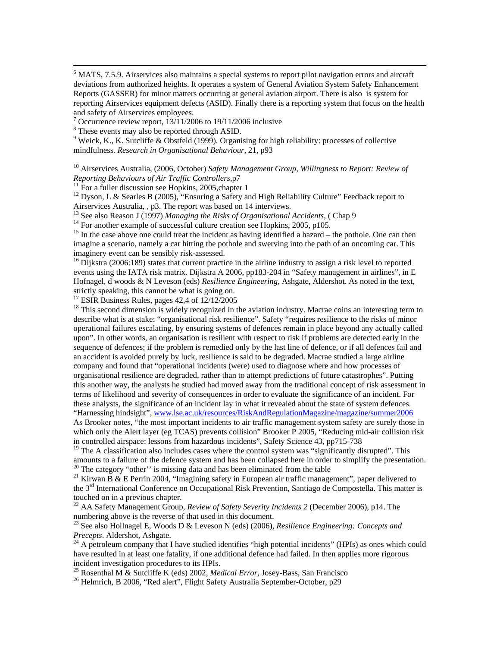$\frac{1}{6}$  MATS, 7.5.9. Airservices also maintains a special systems to report pilot navigation errors and aircraft deviations from authorized heights. It operates a system of General Aviation System Safety Enhancement Reports (GASSER) for minor matters occurring at general aviation airport. There is also is system for reporting Airservices equipment defects (ASID). Finally there is a reporting system that focus on the health and safety of Airservices employees.

<sup>7</sup> Occurrence review report, 13/11/2006 to 19/11/2006 inclusive

<sup>8</sup> These events may also be reported through ASID.

 $9$  Weick, K., K. Sutcliffe & Obstfeld (1999). Organising for high reliability: processes of collective mindfulness. *Research in Organisational Behaviour*, 21, p93

<sup>10</sup> Airservices Australia, (2006, October) *Safety Management Group, Willingness to Report: Review of Reporting Behaviours of Air Traffic Controllers, p7* 

<sup>11</sup> For a fuller discussion see Hopkins, 2005, chapter 1

<sup>12</sup> Dyson, L & Searles B (2005), "Ensuring a Safety and High Reliability Culture" Feedback report to Airservices Australia, , p3. The report was based on 14 interviews.<br><sup>13</sup> See also Reason J (1997) *Managing the Risks of Organisational Accidents*, (Chap 9

<sup>14</sup> For another example of successful culture creation see Hopkins, 2005, p105.

<sup>15</sup> In the case above one could treat the incident as having identified a hazard – the pothole. One can then imagine a scenario, namely a car hitting the pothole and swerving into the path of an oncoming car. This imaginery event can be sensibly risk-assessed.

<sup>16</sup> Dijkstra (2006:189) states that current practice in the airline industry to assign a risk level to reported events using the IATA risk matrix. Dijkstra A 2006, pp183-204 in "Safety management in airlines", in E Hofnagel, d woods & N Leveson (eds) *Resilience Engineering*, Ashgate, Aldershot. As noted in the text, strictly speaking, this cannot be what is going on.

 $17$  ESIR Business Rules, pages 42,4 of  $12/12/2005$ 

<sup>18</sup> This second dimension is widely recognized in the aviation industry. Macrae coins an interesting term to describe what is at stake: "organisational risk resilience". Safety "requires resilience to the risks of minor operational failures escalating, by ensuring systems of defences remain in place beyond any actually called upon". In other words, an organisation is resilient with respect to risk if problems are detected early in the sequence of defences; if the problem is remedied only by the last line of defence, or if all defences fail and an accident is avoided purely by luck, resilience is said to be degraded. Macrae studied a large airline company and found that "operational incidents (were) used to diagnose where and how processes of organisational resilience are degraded, rather than to attempt predictions of future catastrophes". Putting this another way, the analysts he studied had moved away from the traditional concept of risk assessment in terms of likelihood and severity of consequences in order to evaluate the significance of an incident. For these analysts, the significance of an incident lay in what it revealed about the state of system defences. "Harnessing hindsight", [www.lse.ac.uk/resources/RiskAndRegulationMagazine/magazine/summer2006](http://www.lse.ac.uk/resources/RiskAndRegulationMagazine/magazine/summer2006)

As Brooker notes, "the most important incidents to air traffic management system safety are surely those in which only the Alert layer (eg TCAS) prevents collision" Brooker P 2005, "Reducing mid-air collision risk in controlled airspace: lessons from hazardous incidents", Safety Science 43, pp715-738

<sup>19</sup> The A classification also includes cases where the control system was "significantly disrupted". This amounts to a failure of the defence system and has been collapsed here in order to simplify the presentation.<br><sup>20</sup> The category "other" is missing data and has been eliminated from the table

<sup>21</sup> Kirwan B & E Perrin 2004, "Imagining safety in European air traffic management", paper delivered to the 3rd International Conference on Occupational Risk Prevention, Santiago de Compostella. This matter is touched on in a previous chapter.

22 AA Safety Management Group, *Review of Safety Severity Incidents 2* (December 2006), p14. The numbering above is the reverse of that used in this document.

23 See also Hollnagel E, Woods D & Leveson N (eds) (2006), *Resilience Engineering: Concepts and Precepts*. Aldershot, Ashgate.<br><sup>24</sup> A petroleum company that I have studied identifies "high potential incidents" (HPIs) as ones which could

have resulted in at least one fatality, if one additional defence had failed. In then applies more rigorous incident investigation procedures to its HPIs.

<sup>25</sup> Rosenthal M & Sutcliffe K (eds) 2002, *Medical Error*, Josey-Bass, San Francisco<br><sup>26</sup> Helmrich, B 2006, "Red alert", Flight Safety Australia September-October, p29